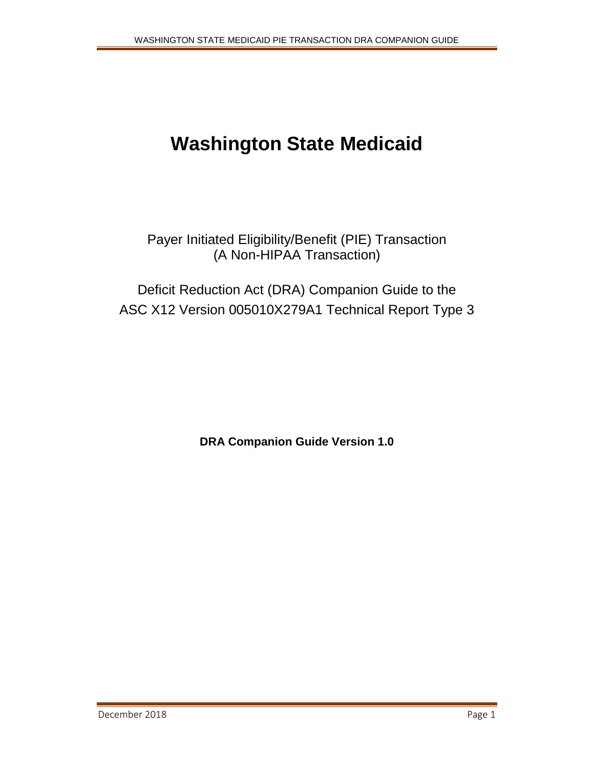# **Washington State Medicaid**

Payer Initiated Eligibility/Benefit (PIE) Transaction (A Non-HIPAA Transaction)

Deficit Reduction Act (DRA) Companion Guide to the ASC X12 Version 005010X279A1 Technical Report Type 3

**DRA Companion Guide Version 1.0**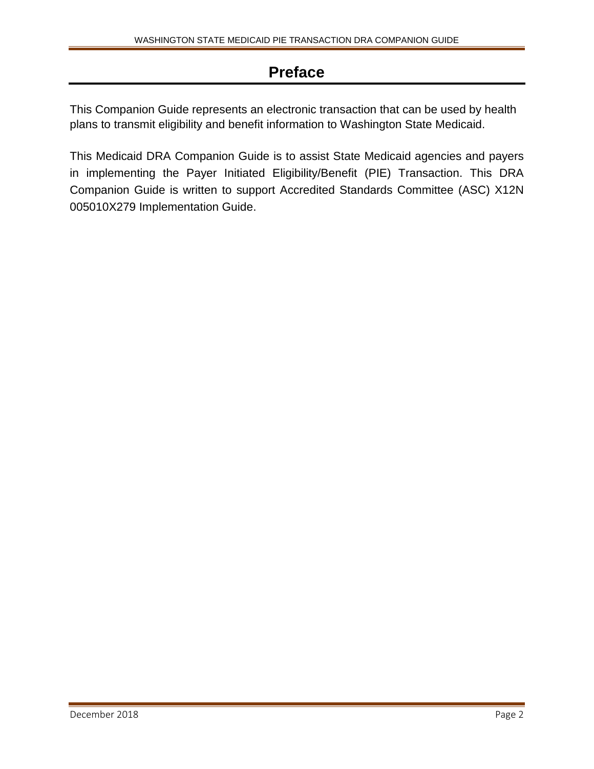# **Preface**

This Companion Guide represents an electronic transaction that can be used by health plans to transmit eligibility and benefit information to Washington State Medicaid.

This Medicaid DRA Companion Guide is to assist State Medicaid agencies and payers in implementing the Payer Initiated Eligibility/Benefit (PIE) Transaction. This DRA Companion Guide is written to support Accredited Standards Committee (ASC) X12N 005010X279 Implementation Guide.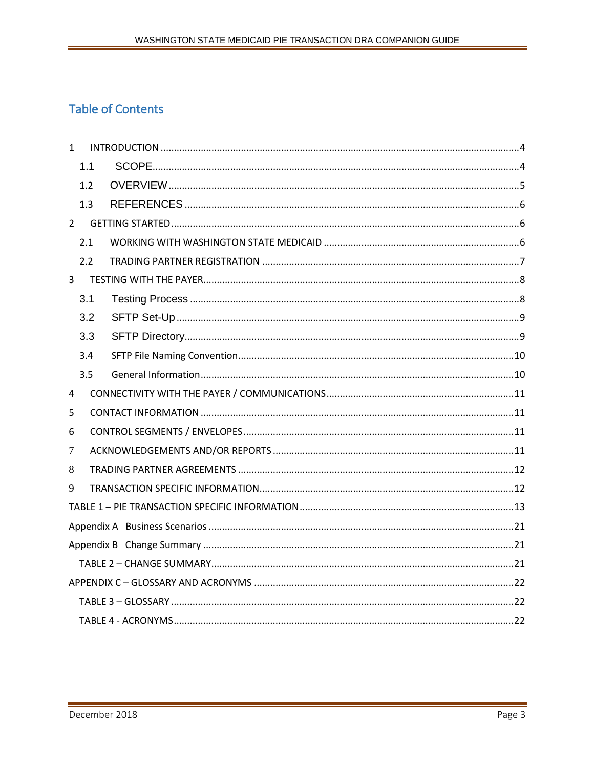# **Table of Contents**

| $\mathbf{1}$   |     |  |
|----------------|-----|--|
|                | 1.1 |  |
|                | 1.2 |  |
|                | 1.3 |  |
| $2^{\circ}$    |     |  |
|                | 2.1 |  |
|                | 2.2 |  |
| 3 <sup>7</sup> |     |  |
|                | 3.1 |  |
|                | 3.2 |  |
|                | 3.3 |  |
|                | 3.4 |  |
|                | 3.5 |  |
| 4              |     |  |
| 5              |     |  |
| 6              |     |  |
| 7              |     |  |
| 8              |     |  |
| 9              |     |  |
|                |     |  |
|                |     |  |
|                |     |  |
|                |     |  |
|                |     |  |
|                |     |  |
|                |     |  |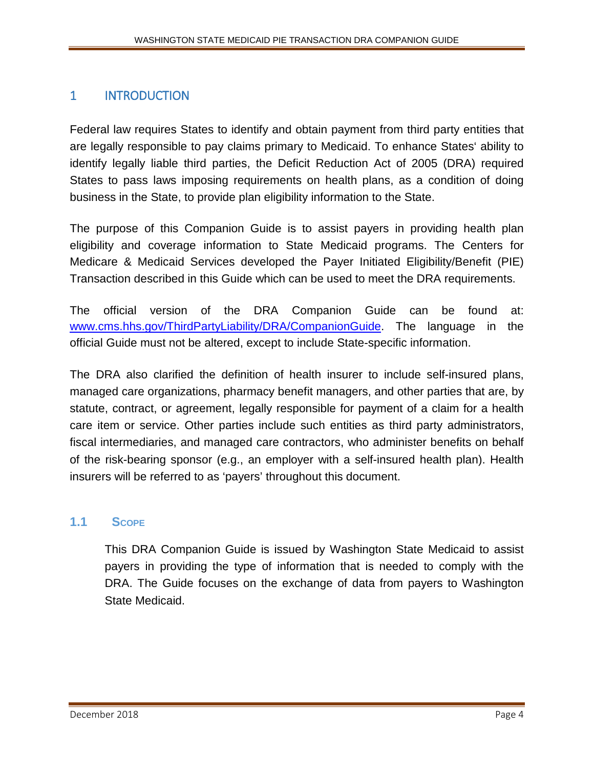# <span id="page-3-0"></span>1 INTRODUCTION

Federal law requires States to identify and obtain payment from third party entities that are legally responsible to pay claims primary to Medicaid. To enhance States' ability to identify legally liable third parties, the Deficit Reduction Act of 2005 (DRA) required States to pass laws imposing requirements on health plans, as a condition of doing business in the State, to provide plan eligibility information to the State.

The purpose of this Companion Guide is to assist payers in providing health plan eligibility and coverage information to State Medicaid programs. The Centers for Medicare & Medicaid Services developed the Payer Initiated Eligibility/Benefit (PIE) Transaction described in this Guide which can be used to meet the DRA requirements.

The official version of the DRA Companion Guide can be found at: [www.cms.hhs.gov/ThirdPartyLiability/DRA/CompanionGuide](https://www.cms.gov/Research-Statistics-Data-and-Systems/CMS-Information-Technology/HETSHelp/Downloads/HETS270271CompanionGuide5010.pdf). The language in the official Guide must not be altered, except to include State-specific information.

The DRA also clarified the definition of health insurer to include self-insured plans, managed care organizations, pharmacy benefit managers, and other parties that are, by statute, contract, or agreement, legally responsible for payment of a claim for a health care item or service. Other parties include such entities as third party administrators, fiscal intermediaries, and managed care contractors, who administer benefits on behalf of the risk-bearing sponsor (e.g., an employer with a self-insured health plan). Health insurers will be referred to as 'payers' throughout this document.

## <span id="page-3-1"></span>**1.1 SCOPE**

This DRA Companion Guide is issued by Washington State Medicaid to assist payers in providing the type of information that is needed to comply with the DRA. The Guide focuses on the exchange of data from payers to Washington State Medicaid.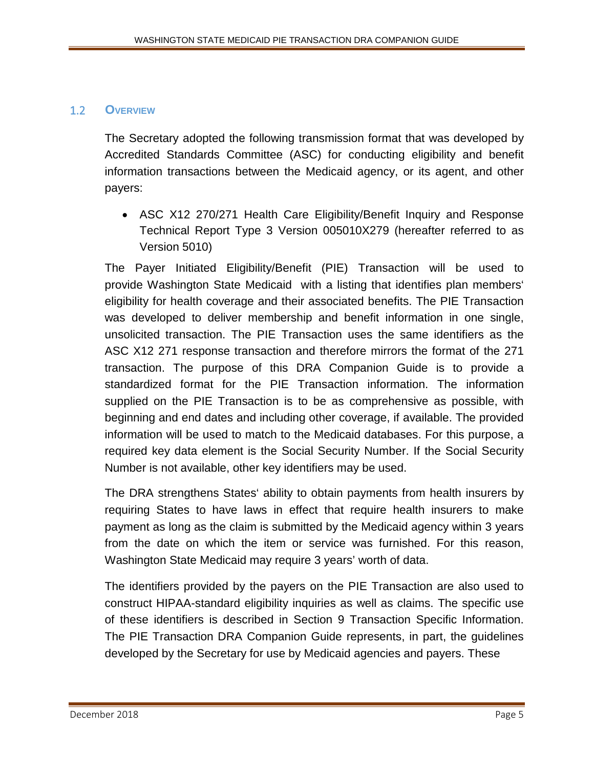#### <span id="page-4-0"></span>1.2 **OVERVIEW**

The Secretary adopted the following transmission format that was developed by Accredited Standards Committee (ASC) for conducting eligibility and benefit information transactions between the Medicaid agency, or its agent, and other payers:

• ASC X12 270/271 Health Care Eligibility/Benefit Inquiry and Response Technical Report Type 3 Version 005010X279 (hereafter referred to as Version 5010)

The Payer Initiated Eligibility/Benefit (PIE) Transaction will be used to provide Washington State Medicaid with a listing that identifies plan members' eligibility for health coverage and their associated benefits. The PIE Transaction was developed to deliver membership and benefit information in one single, unsolicited transaction. The PIE Transaction uses the same identifiers as the ASC X12 271 response transaction and therefore mirrors the format of the 271 transaction. The purpose of this DRA Companion Guide is to provide a standardized format for the PIE Transaction information. The information supplied on the PIE Transaction is to be as comprehensive as possible, with beginning and end dates and including other coverage, if available. The provided information will be used to match to the Medicaid databases. For this purpose, a required key data element is the Social Security Number. If the Social Security Number is not available, other key identifiers may be used.

The DRA strengthens States' ability to obtain payments from health insurers by requiring States to have laws in effect that require health insurers to make payment as long as the claim is submitted by the Medicaid agency within 3 years from the date on which the item or service was furnished. For this reason, Washington State Medicaid may require 3 years' worth of data.

The identifiers provided by the payers on the PIE Transaction are also used to construct HIPAA-standard eligibility inquiries as well as claims. The specific use of these identifiers is described in Section 9 Transaction Specific Information. The PIE Transaction DRA Companion Guide represents, in part, the guidelines developed by the Secretary for use by Medicaid agencies and payers. These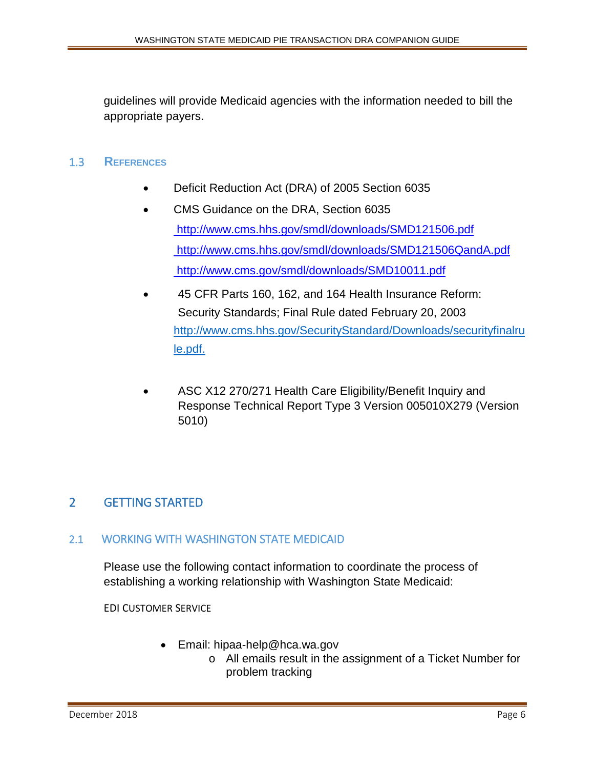guidelines will provide Medicaid agencies with the information needed to bill the appropriate payers.

#### <span id="page-5-0"></span>1.3 **REFERENCES**

- Deficit Reduction Act (DRA) of 2005 Section 6035
- CMS Guidance on the DRA, Section 6035 <http://www.cms.hhs.gov/smdl/downloads/SMD121506.pdf> <http://www.cms.hhs.gov/smdl/downloads/SMD121506QandA.pdf> <http://www.cms.gov/smdl/downloads/SMD10011.pdf>
- 45 CFR Parts 160, 162, and 164 Health Insurance Reform: Security Standards; Final Rule dated February 20, 2003 [http://www.cms.hhs.gov/SecurityStandard/Downloads/securityfinalru](https://www.cms.gov/Medicare/Prescription-Drug-Coverage/PrescriptionDrugCovContra/Downloads/2019-Part-D-Application.pdf) [le.pdf.](https://www.cms.gov/Medicare/Prescription-Drug-Coverage/PrescriptionDrugCovContra/Downloads/2019-Part-D-Application.pdf)
- ASC X12 270/271 Health Care Eligibility/Benefit Inquiry and Response Technical Report Type 3 Version 005010X279 (Version 5010)

# <span id="page-5-1"></span>2 GETTING STARTED

#### <span id="page-5-2"></span>2.1 WORKING WITH WASHINGTON STATE MEDICAID

Please use the following contact information to coordinate the process of establishing a working relationship with Washington State Medicaid:

EDI CUSTOMER SERVICE

- Email: hipaa-help@hca.wa.gov
	- o All emails result in the assignment of a Ticket Number for problem tracking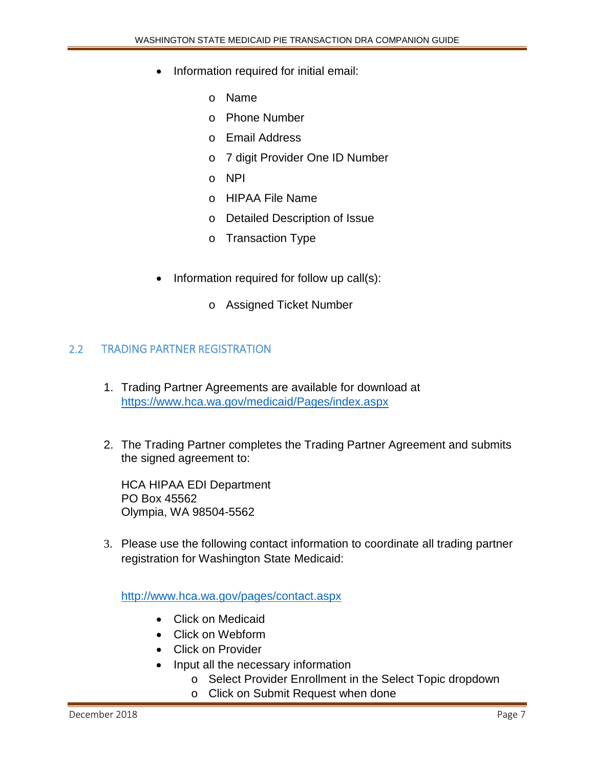- Information required for initial email:
	- o Name
	- o Phone Number
	- o Email Address
	- o 7 digit Provider One ID Number
	- o NPI
	- o HIPAA File Name
	- o Detailed Description of Issue
	- o Transaction Type
- Information required for follow up call(s):
	- o Assigned Ticket Number

#### <span id="page-6-0"></span>2.2 TRADING PARTNER REGISTRATION

- 1. Trading Partner Agreements are available for download at [https://www.hca.wa.gov/medicaid/Pages/index.aspx](https://www.hca.wa.gov/billers-providers-partners/prior-authorization-claims-and-billing/hipaa-electronic-data-interchange-edi)
- 2. The Trading Partner completes the Trading Partner Agreement and submits the signed agreement to:

HCA HIPAA EDI Department PO Box 45562 Olympia, WA 98504-5562

3. Please use the following contact information to coordinate all trading partner registration for Washington State Medicaid:

<http://www.hca.wa.gov/pages/contact.aspx>

- Click on Medicaid
- Click on Webform
- Click on Provider
- Input all the necessary information
	- o Select Provider Enrollment in the Select Topic dropdown
	- o Click on Submit Request when done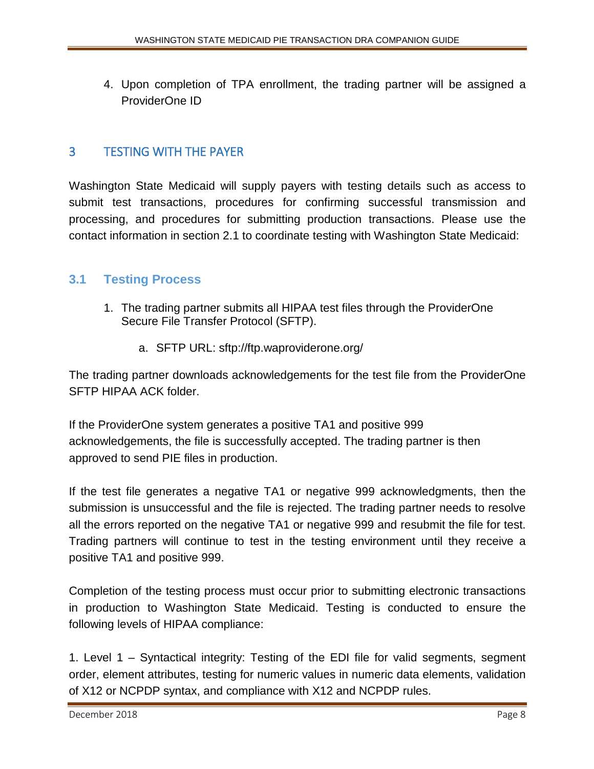4. Upon completion of TPA enrollment, the trading partner will be assigned a ProviderOne ID

# <span id="page-7-0"></span>3 TESTING WITH THE PAYER

Washington State Medicaid will supply payers with testing details such as access to submit test transactions, procedures for confirming successful transmission and processing, and procedures for submitting production transactions. Please use the contact information in section 2.1 to coordinate testing with Washington State Medicaid:

## <span id="page-7-1"></span>**3.1 Testing Process**

- 1. The trading partner submits all HIPAA test files through the ProviderOne Secure File Transfer Protocol (SFTP).
	- a. SFTP URL: sftp://ftp.waproviderone.org/

The trading partner downloads acknowledgements for the test file from the ProviderOne SFTP HIPAA ACK folder.

If the ProviderOne system generates a positive TA1 and positive 999 acknowledgements, the file is successfully accepted. The trading partner is then approved to send PIE files in production.

If the test file generates a negative TA1 or negative 999 acknowledgments, then the submission is unsuccessful and the file is rejected. The trading partner needs to resolve all the errors reported on the negative TA1 or negative 999 and resubmit the file for test. Trading partners will continue to test in the testing environment until they receive a positive TA1 and positive 999.

Completion of the testing process must occur prior to submitting electronic transactions in production to Washington State Medicaid. Testing is conducted to ensure the following levels of HIPAA compliance:

1. Level 1 – Syntactical integrity: Testing of the EDI file for valid segments, segment order, element attributes, testing for numeric values in numeric data elements, validation of X12 or NCPDP syntax, and compliance with X12 and NCPDP rules.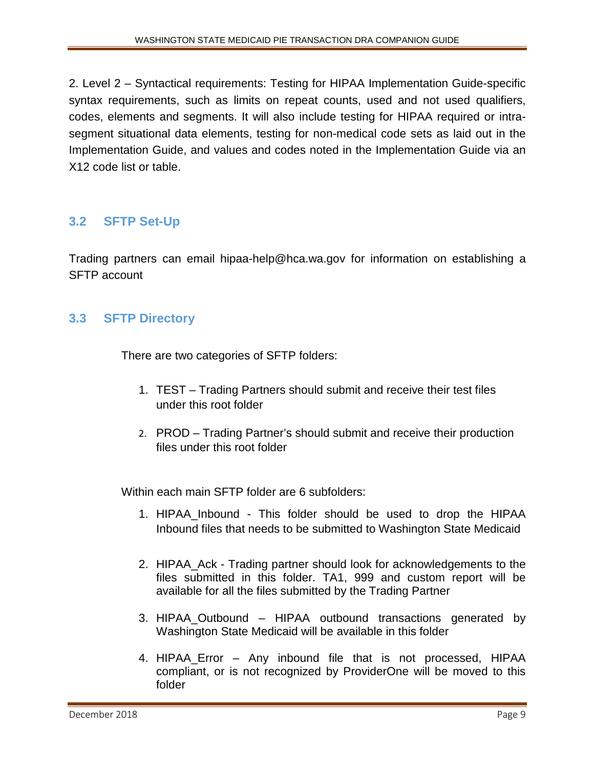2. Level 2 – Syntactical requirements: Testing for HIPAA Implementation Guide-specific syntax requirements, such as limits on repeat counts, used and not used qualifiers, codes, elements and segments. It will also include testing for HIPAA required or intrasegment situational data elements, testing for non-medical code sets as laid out in the Implementation Guide, and values and codes noted in the Implementation Guide via an X12 code list or table.

# <span id="page-8-0"></span>**3.2 SFTP Set-Up**

Trading partners can email hipaa-help@hca.wa.gov for information on establishing a SFTP account

#### <span id="page-8-1"></span>**3.3 SFTP Directory**

There are two categories of SFTP folders:

- 1. TEST Trading Partners should submit and receive their test files under this root folder
- 2. PROD Trading Partner's should submit and receive their production files under this root folder

Within each main SFTP folder are 6 subfolders:

- 1. HIPAA\_Inbound This folder should be used to drop the HIPAA Inbound files that needs to be submitted to Washington State Medicaid
- 2. HIPAA\_Ack Trading partner should look for acknowledgements to the files submitted in this folder. TA1, 999 and custom report will be available for all the files submitted by the Trading Partner
- 3. HIPAA\_Outbound HIPAA outbound transactions generated by Washington State Medicaid will be available in this folder
- 4. HIPAA\_Error Any inbound file that is not processed, HIPAA compliant, or is not recognized by ProviderOne will be moved to this folder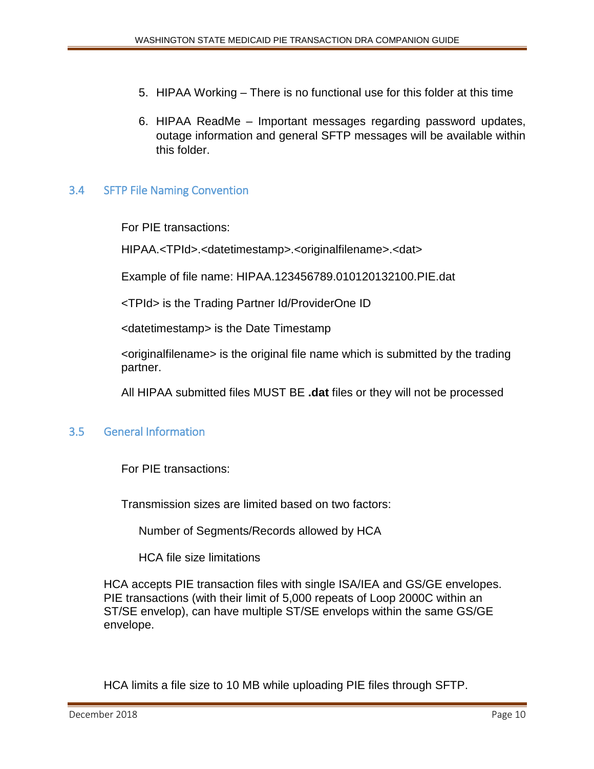- 5. HIPAA Working There is no functional use for this folder at this time
- 6. HIPAA ReadMe Important messages regarding password updates, outage information and general SFTP messages will be available within this folder.

#### <span id="page-9-0"></span>3.4 SFTP File Naming Convention

For PIE transactions:

HIPAA.<TPId>.<datetimestamp>.<originalfilename>.<dat>

Example of file name: HIPAA.123456789.010120132100.PIE.dat

<TPId> is the Trading Partner Id/ProviderOne ID

<datetimestamp> is the Date Timestamp

<originalfilename> is the original file name which is submitted by the trading partner.

All HIPAA submitted files MUST BE **.dat** files or they will not be processed

#### <span id="page-9-1"></span>3.5 General Information

For PIE transactions:

Transmission sizes are limited based on two factors:

Number of Segments/Records allowed by HCA

HCA file size limitations

HCA accepts PIE transaction files with single ISA/IEA and GS/GE envelopes. PIE transactions (with their limit of 5,000 repeats of Loop 2000C within an ST/SE envelop), can have multiple ST/SE envelops within the same GS/GE envelope.

HCA limits a file size to 10 MB while uploading PIE files through SFTP.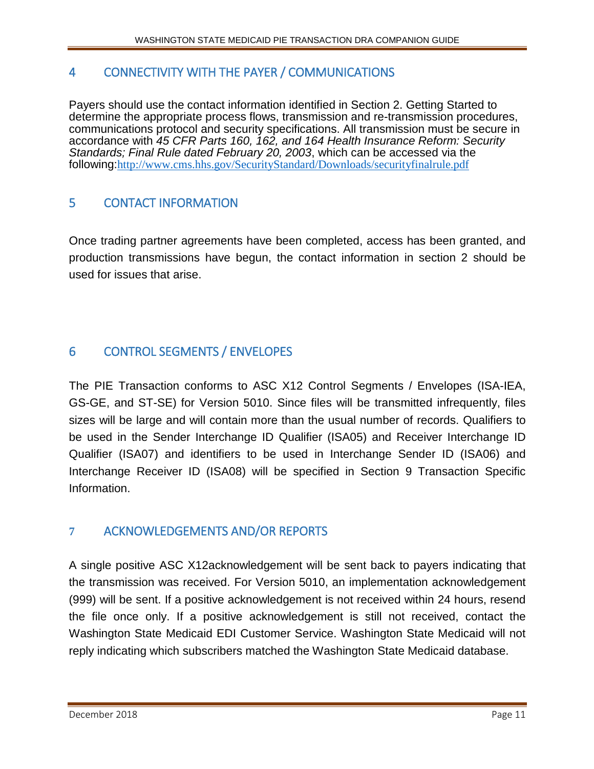# <span id="page-10-0"></span>4 CONNECTIVITY WITH THE PAYER / COMMUNICATIONS

Payers should use the contact information identified in Section 2. Getting Started to determine the appropriate process flows, transmission and re-transmission procedures, communications protocol and security specifications. All transmission must be secure in accordance with *45 CFR Parts 160, 162, and 164 Health Insurance Reform: Security Standards; Final Rule dated February 20, 2003*, which can be accessed via the following:[http://www.cms.hhs.gov/SecurityStandard/Downloads/securityfinalrule.pdf](https://www.cms.gov/Medicare/Prescription-Drug-Coverage/PrescriptionDrugCovContra/downloads/2019-part-D-application.pdf)

# <span id="page-10-1"></span>5 CONTACT INFORMATION

Once trading partner agreements have been completed, access has been granted, and production transmissions have begun, the contact information in section 2 should be used for issues that arise.

# <span id="page-10-2"></span>6 CONTROL SEGMENTS / ENVELOPES

The PIE Transaction conforms to ASC X12 Control Segments / Envelopes (ISA-IEA, GS-GE, and ST-SE) for Version 5010. Since files will be transmitted infrequently, files sizes will be large and will contain more than the usual number of records. Qualifiers to be used in the Sender Interchange ID Qualifier (ISA05) and Receiver Interchange ID Qualifier (ISA07) and identifiers to be used in Interchange Sender ID (ISA06) and Interchange Receiver ID (ISA08) will be specified in Section 9 Transaction Specific Information.

# <span id="page-10-3"></span>**7** ACKNOWLEDGEMENTS AND/OR REPORTS

A single positive ASC X12acknowledgement will be sent back to payers indicating that the transmission was received. For Version 5010, an implementation acknowledgement (999) will be sent. If a positive acknowledgement is not received within 24 hours, resend the file once only. If a positive acknowledgement is still not received, contact the Washington State Medicaid EDI Customer Service. Washington State Medicaid will not reply indicating which subscribers matched the Washington State Medicaid database.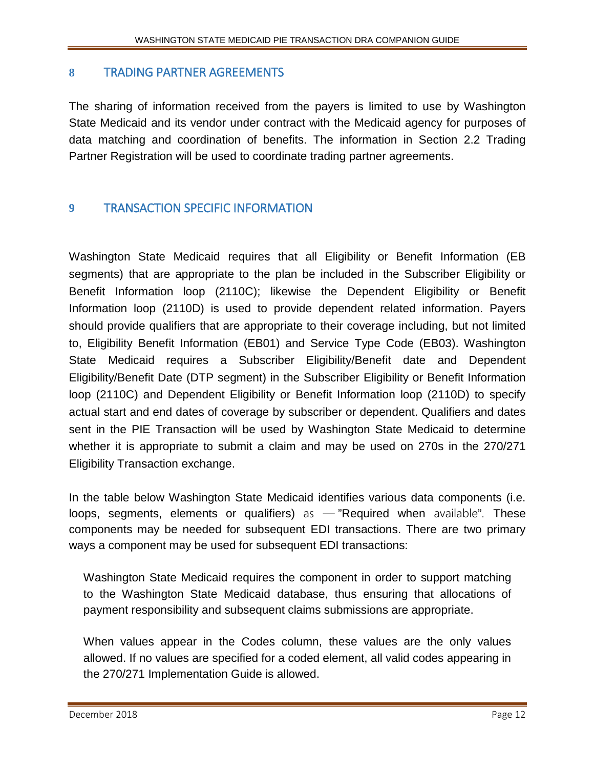#### <span id="page-11-0"></span>**8** TRADING PARTNER AGREEMENTS

The sharing of information received from the payers is limited to use by Washington State Medicaid and its vendor under contract with the Medicaid agency for purposes of data matching and coordination of benefits. The information in Section 2.2 Trading Partner Registration will be used to coordinate trading partner agreements.

# <span id="page-11-1"></span>**9** TRANSACTION SPECIFIC INFORMATION

Washington State Medicaid requires that all Eligibility or Benefit Information (EB segments) that are appropriate to the plan be included in the Subscriber Eligibility or Benefit Information loop (2110C); likewise the Dependent Eligibility or Benefit Information loop (2110D) is used to provide dependent related information. Payers should provide qualifiers that are appropriate to their coverage including, but not limited to, Eligibility Benefit Information (EB01) and Service Type Code (EB03). Washington State Medicaid requires a Subscriber Eligibility/Benefit date and Dependent Eligibility/Benefit Date (DTP segment) in the Subscriber Eligibility or Benefit Information loop (2110C) and Dependent Eligibility or Benefit Information loop (2110D) to specify actual start and end dates of coverage by subscriber or dependent. Qualifiers and dates sent in the PIE Transaction will be used by Washington State Medicaid to determine whether it is appropriate to submit a claim and may be used on 270s in the 270/271 Eligibility Transaction exchange.

In the table below Washington State Medicaid identifies various data components (i.e. loops, segments, elements or qualifiers) as  $-$  "Required when available". These components may be needed for subsequent EDI transactions. There are two primary ways a component may be used for subsequent EDI transactions:

Washington State Medicaid requires the component in order to support matching to the Washington State Medicaid database, thus ensuring that allocations of payment responsibility and subsequent claims submissions are appropriate.

When values appear in the Codes column, these values are the only values allowed. If no values are specified for a coded element, all valid codes appearing in the 270/271 Implementation Guide is allowed.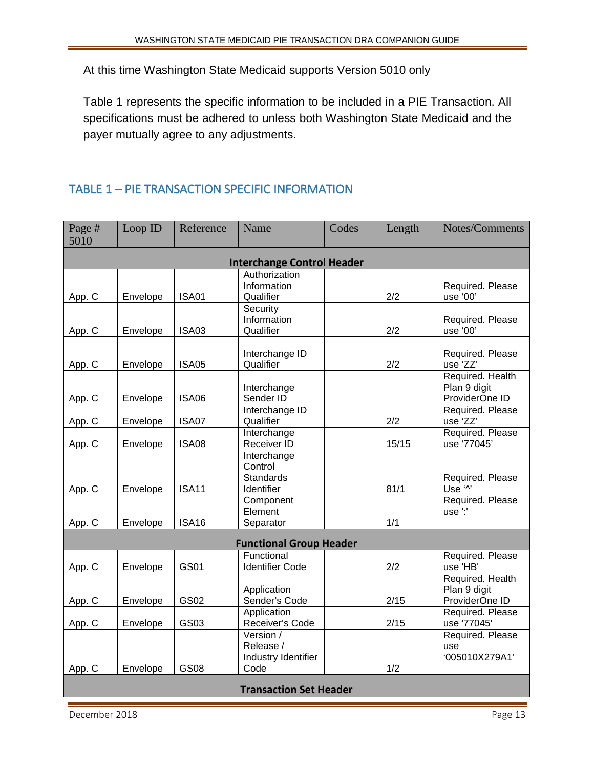At this time Washington State Medicaid supports Version 5010 only

Table 1 represents the specific information to be included in a PIE Transaction. All specifications must be adhered to unless both Washington State Medicaid and the payer mutually agree to any adjustments.

# <span id="page-12-0"></span>TABLE 1 – PIE TRANSACTION SPECIFIC INFORMATION

| Page #<br>5010                | Loop ID  | Reference    | Name                                                     | Codes | Length | Notes/Comments                                     |
|-------------------------------|----------|--------------|----------------------------------------------------------|-------|--------|----------------------------------------------------|
|                               |          |              | <b>Interchange Control Header</b>                        |       |        |                                                    |
| App. C                        | Envelope | <b>ISA01</b> | Authorization<br>Information<br>Qualifier                |       | 2/2    | Required. Please<br>use '00'                       |
| App. C                        | Envelope | <b>ISA03</b> | Security<br>Information<br>Qualifier                     |       | 2/2    | Required. Please<br>use '00'                       |
| App. C                        | Envelope | <b>ISA05</b> | Interchange ID<br>Qualifier                              |       | 2/2    | Required. Please<br>use 'ZZ'                       |
| App. C                        | Envelope | <b>ISA06</b> | Interchange<br>Sender ID                                 |       |        | Required. Health<br>Plan 9 digit<br>ProviderOne ID |
| App. C                        | Envelope | ISA07        | Interchange ID<br>Qualifier                              |       | 2/2    | Required. Please<br>use 'ZZ'                       |
| App. C                        | Envelope | <b>ISA08</b> | Interchange<br>Receiver ID                               |       | 15/15  | Required. Please<br>use '77045'                    |
| App. C                        | Envelope | <b>ISA11</b> | Interchange<br>Control<br><b>Standards</b><br>Identifier |       | 81/1   | Required. Please<br>Use '^'                        |
| App. C                        | Envelope | <b>ISA16</b> | Component<br>Element<br>Separator                        |       | 1/1    | Required. Please<br>use <sup>":</sup>              |
|                               |          |              | <b>Functional Group Header</b>                           |       |        |                                                    |
| App. C                        | Envelope | <b>GS01</b>  | Functional<br><b>Identifier Code</b>                     |       | 2/2    | Required. Please<br>use 'HB'                       |
| App. C                        | Envelope | GS02         | Application<br>Sender's Code                             |       | 2/15   | Required. Health<br>Plan 9 digit<br>ProviderOne ID |
| App. C                        | Envelope | GS03         | Application<br>Receiver's Code                           |       | 2/15   | Required. Please<br>use '77045'                    |
| App. C                        | Envelope | <b>GS08</b>  | Version /<br>Release /<br>Industry Identifier<br>Code    |       | 1/2    | Required. Please<br>use<br>'005010X279A1'          |
| <b>Transaction Set Header</b> |          |              |                                                          |       |        |                                                    |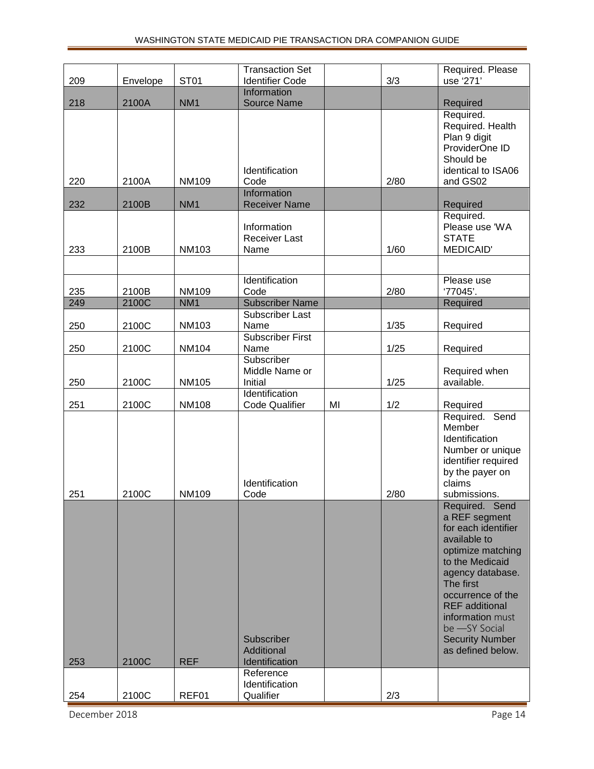|     |          |                 | <b>Transaction Set</b>                      |    |      | Required. Please                                                                                                                                                                                                                                                                  |
|-----|----------|-----------------|---------------------------------------------|----|------|-----------------------------------------------------------------------------------------------------------------------------------------------------------------------------------------------------------------------------------------------------------------------------------|
| 209 | Envelope | ST01            | <b>Identifier Code</b>                      |    | 3/3  | use '271'                                                                                                                                                                                                                                                                         |
|     |          |                 | Information                                 |    |      |                                                                                                                                                                                                                                                                                   |
| 218 | 2100A    | NM <sub>1</sub> | <b>Source Name</b>                          |    |      | Required                                                                                                                                                                                                                                                                          |
| 220 | 2100A    | <b>NM109</b>    | Identification<br>Code                      |    | 2/80 | Required.<br>Required. Health<br>Plan 9 digit<br>ProviderOne ID<br>Should be<br>identical to ISA06<br>and GS02                                                                                                                                                                    |
|     |          |                 | <b>Information</b>                          |    |      |                                                                                                                                                                                                                                                                                   |
| 232 | 2100B    | NM <sub>1</sub> | <b>Receiver Name</b>                        |    |      | Required                                                                                                                                                                                                                                                                          |
| 233 | 2100B    | <b>NM103</b>    | Information<br><b>Receiver Last</b><br>Name |    | 1/60 | Required.<br>Please use 'WA<br><b>STATE</b><br>MEDICAID'                                                                                                                                                                                                                          |
|     |          |                 |                                             |    |      |                                                                                                                                                                                                                                                                                   |
|     |          |                 | Identification                              |    |      | Please use                                                                                                                                                                                                                                                                        |
| 235 | 2100B    | NM109           | Code                                        |    | 2/80 | '77045'.                                                                                                                                                                                                                                                                          |
| 249 | 2100C    | NM <sub>1</sub> | <b>Subscriber Name</b>                      |    |      | Required                                                                                                                                                                                                                                                                          |
| 250 | 2100C    | <b>NM103</b>    | Subscriber Last<br>Name                     |    | 1/35 | Required                                                                                                                                                                                                                                                                          |
| 250 | 2100C    | <b>NM104</b>    | <b>Subscriber First</b><br>Name             |    | 1/25 | Required                                                                                                                                                                                                                                                                          |
| 250 | 2100C    | <b>NM105</b>    | Subscriber<br>Middle Name or<br>Initial     |    | 1/25 | Required when<br>available.                                                                                                                                                                                                                                                       |
| 251 | 2100C    | <b>NM108</b>    | Identification<br><b>Code Qualifier</b>     | MI | 1/2  | Required                                                                                                                                                                                                                                                                          |
| 251 | 2100C    | NM109           | Identification<br>Code                      |    | 2/80 | Required. Send<br>Member<br>Identification<br>Number or unique<br>identifier required<br>by the payer on<br>claims<br>submissions.                                                                                                                                                |
| 253 | 2100C    | <b>REF</b>      | Subscriber<br>Additional<br>Identification  |    |      | Required. Send<br>a REF segment<br>for each identifier<br>available to<br>optimize matching<br>to the Medicaid<br>agency database.<br>The first<br>occurrence of the<br><b>REF</b> additional<br>information must<br>be -SY Social<br><b>Security Number</b><br>as defined below. |
|     |          |                 | Reference                                   |    |      |                                                                                                                                                                                                                                                                                   |
| 254 | 2100C    | REF01           | Identification<br>Qualifier                 |    | 2/3  |                                                                                                                                                                                                                                                                                   |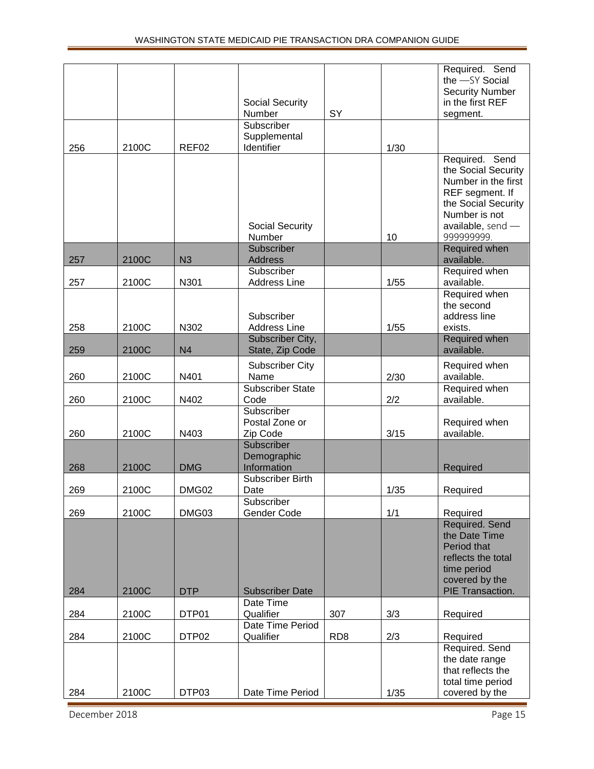|     |       |                | Social Security<br>Number                | SY              |      | Required. Send<br>the -SY Social<br><b>Security Number</b><br>in the first REF<br>segment.                                                                   |
|-----|-------|----------------|------------------------------------------|-----------------|------|--------------------------------------------------------------------------------------------------------------------------------------------------------------|
|     |       |                | Subscriber<br>Supplemental               |                 |      |                                                                                                                                                              |
| 256 | 2100C | REF02          | Identifier                               |                 | 1/30 |                                                                                                                                                              |
|     |       |                | <b>Social Security</b><br>Number         |                 | 10   | Required. Send<br>the Social Security<br>Number in the first<br>REF segment. If<br>the Social Security<br>Number is not<br>available, send $-$<br>999999999. |
|     |       |                | Subscriber                               |                 |      | Required when                                                                                                                                                |
| 257 | 2100C | N <sub>3</sub> | <b>Address</b><br>Subscriber             |                 |      | available.<br>Required when                                                                                                                                  |
| 257 | 2100C | N301           | <b>Address Line</b>                      |                 | 1/55 | available.                                                                                                                                                   |
| 258 | 2100C | N302           | Subscriber<br><b>Address Line</b>        |                 | 1/55 | Required when<br>the second<br>address line<br>exists.                                                                                                       |
| 259 | 2100C | N <sub>4</sub> | Subscriber City,<br>State, Zip Code      |                 |      | Required when<br>available.                                                                                                                                  |
| 260 | 2100C | N401           | <b>Subscriber City</b><br>Name           |                 | 2/30 | Required when<br>available.                                                                                                                                  |
| 260 | 2100C | N402           | Subscriber State<br>Code                 |                 | 2/2  | Required when<br>available.                                                                                                                                  |
| 260 | 2100C | N403           | Subscriber<br>Postal Zone or<br>Zip Code |                 | 3/15 | Required when<br>available.                                                                                                                                  |
| 268 | 2100C | <b>DMG</b>     | Subscriber<br>Demographic<br>Information |                 |      | Required                                                                                                                                                     |
| 269 | 2100C | DMG02          | Subscriber Birth<br>Date                 |                 | 1/35 | Required                                                                                                                                                     |
| 269 | 2100C | DMG03          | Subscriber<br>Gender Code                |                 | 1/1  | Required                                                                                                                                                     |
| 284 | 2100C | <b>DTP</b>     | <b>Subscriber Date</b>                   |                 |      | Required. Send<br>the Date Time<br>Period that<br>reflects the total<br>time period<br>covered by the<br>PIE Transaction.                                    |
| 284 | 2100C | DTP01          | Date Time<br>Qualifier                   | 307             | 3/3  | Required                                                                                                                                                     |
| 284 | 2100C | DTP02          | Date Time Period<br>Qualifier            | RD <sub>8</sub> | 2/3  | Required                                                                                                                                                     |
| 284 | 2100C | DTP03          | Date Time Period                         |                 | 1/35 | Required. Send<br>the date range<br>that reflects the<br>total time period<br>covered by the                                                                 |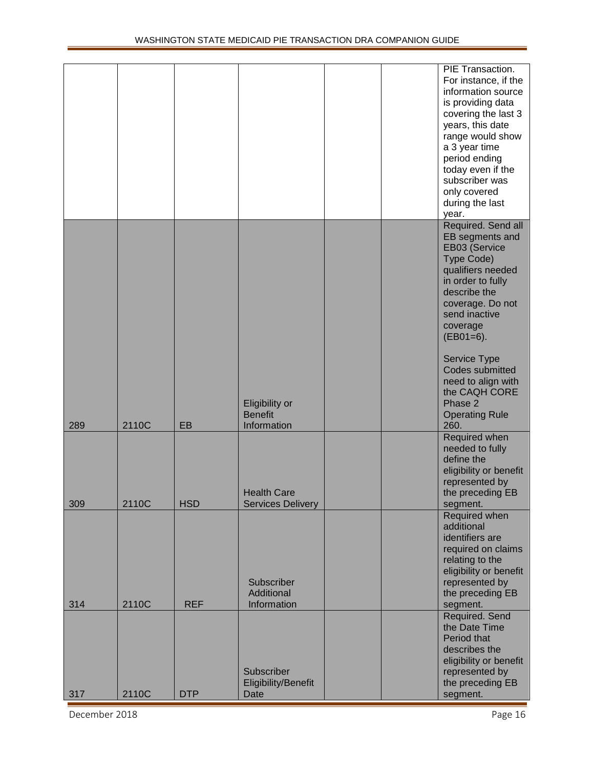|     |       |            |                                                 |  | PIE Transaction.<br>For instance, if the<br>information source<br>is providing data<br>covering the last 3<br>years, this date<br>range would show<br>a 3 year time<br>period ending<br>today even if the<br>subscriber was<br>only covered<br>during the last<br>year.                                              |
|-----|-------|------------|-------------------------------------------------|--|----------------------------------------------------------------------------------------------------------------------------------------------------------------------------------------------------------------------------------------------------------------------------------------------------------------------|
| 289 | 2110C | EB         | Eligibility or<br><b>Benefit</b><br>Information |  | Required. Send all<br>EB segments and<br>EB03 (Service<br>Type Code)<br>qualifiers needed<br>in order to fully<br>describe the<br>coverage. Do not<br>send inactive<br>coverage<br>$(EB01=6).$<br>Service Type<br>Codes submitted<br>need to align with<br>the CAQH CORE<br>Phase 2<br><b>Operating Rule</b><br>260. |
| 309 | 2110C | <b>HSD</b> | <b>Health Care</b><br><b>Services Delivery</b>  |  | Required when<br>needed to fully<br>define the<br>eligibility or benefit<br>represented by<br>the preceding EB<br>segment.                                                                                                                                                                                           |
| 314 | 2110C | <b>REF</b> | Subscriber<br>Additional<br>Information         |  | Required when<br>additional<br>identifiers are<br>required on claims<br>relating to the<br>eligibility or benefit<br>represented by<br>the preceding EB<br>segment.                                                                                                                                                  |
| 317 | 2110C | <b>DTP</b> | Subscriber<br>Eligibility/Benefit<br>Date       |  | Required. Send<br>the Date Time<br>Period that<br>describes the<br>eligibility or benefit<br>represented by<br>the preceding EB<br>segment.                                                                                                                                                                          |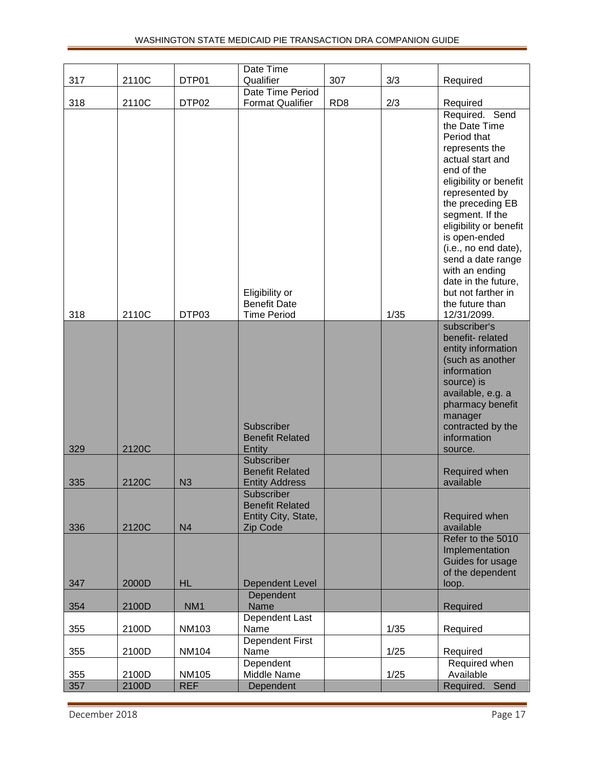|     |       |                   | Date Time                                                               |                 |      |                                                                                                                                                                                                                                                                                                                                                          |
|-----|-------|-------------------|-------------------------------------------------------------------------|-----------------|------|----------------------------------------------------------------------------------------------------------------------------------------------------------------------------------------------------------------------------------------------------------------------------------------------------------------------------------------------------------|
| 317 | 2110C | DTP01             | Qualifier                                                               | 307             | 3/3  | Required                                                                                                                                                                                                                                                                                                                                                 |
|     |       |                   | Date Time Period                                                        |                 |      |                                                                                                                                                                                                                                                                                                                                                          |
| 318 | 2110C | DTP <sub>02</sub> | <b>Format Qualifier</b><br>Eligibility or                               | RD <sub>8</sub> | 2/3  | Required<br>Required. Send<br>the Date Time<br>Period that<br>represents the<br>actual start and<br>end of the<br>eligibility or benefit<br>represented by<br>the preceding EB<br>segment. If the<br>eligibility or benefit<br>is open-ended<br>(i.e., no end date),<br>send a date range<br>with an ending<br>date in the future,<br>but not farther in |
| 318 | 2110C | DTP03             | <b>Benefit Date</b><br><b>Time Period</b>                               |                 | 1/35 | the future than<br>12/31/2099.                                                                                                                                                                                                                                                                                                                           |
| 329 | 2120C |                   | Subscriber<br><b>Benefit Related</b><br>Entity                          |                 |      | subscriber's<br>benefit-related<br>entity information<br>(such as another<br>information<br>source) is<br>available, e.g. a<br>pharmacy benefit<br>manager<br>contracted by the<br>information<br>source.                                                                                                                                                |
| 335 | 2120C | N3                | Subscriber<br><b>Benefit Related</b><br><b>Entity Address</b>           |                 |      | Required when<br>available                                                                                                                                                                                                                                                                                                                               |
| 336 | 2120C | N <sub>4</sub>    | Subscriber<br><b>Benefit Related</b><br>Entity City, State,<br>Zip Code |                 |      | Required when<br>available                                                                                                                                                                                                                                                                                                                               |
| 347 | 2000D | <b>HL</b>         | Dependent Level                                                         |                 |      | Refer to the 5010<br>Implementation<br>Guides for usage<br>of the dependent<br>loop.                                                                                                                                                                                                                                                                     |
|     |       |                   | Dependent                                                               |                 |      |                                                                                                                                                                                                                                                                                                                                                          |
| 354 | 2100D | NM <sub>1</sub>   | Name                                                                    |                 |      | Required                                                                                                                                                                                                                                                                                                                                                 |
| 355 | 2100D | <b>NM103</b>      | Dependent Last<br>Name                                                  |                 | 1/35 | Required                                                                                                                                                                                                                                                                                                                                                 |
| 355 | 2100D | <b>NM104</b>      | Dependent First<br>Name                                                 |                 | 1/25 | Required                                                                                                                                                                                                                                                                                                                                                 |
| 355 | 2100D | <b>NM105</b>      | Dependent<br>Middle Name                                                |                 | 1/25 | Required when<br>Available                                                                                                                                                                                                                                                                                                                               |
| 357 | 2100D | <b>REF</b>        | Dependent                                                               |                 |      | Required. Send                                                                                                                                                                                                                                                                                                                                           |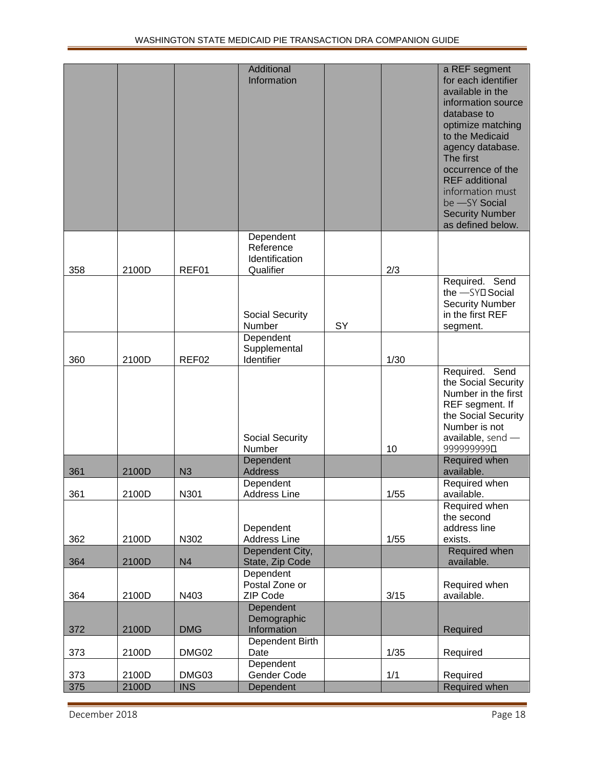|     |       |                | Additional<br>Information                             |    |      | a REF segment<br>for each identifier<br>available in the<br>information source<br>database to<br>optimize matching<br>to the Medicaid<br>agency database.<br>The first<br>occurrence of the<br><b>REF</b> additional<br>information must<br>be -SY Social<br><b>Security Number</b><br>as defined below. |
|-----|-------|----------------|-------------------------------------------------------|----|------|----------------------------------------------------------------------------------------------------------------------------------------------------------------------------------------------------------------------------------------------------------------------------------------------------------|
| 358 | 2100D | REF01          | Dependent<br>Reference<br>Identification<br>Qualifier |    | 2/3  |                                                                                                                                                                                                                                                                                                          |
|     |       |                | Social Security<br>Number                             | SY |      | Required. Send<br>the -SYD Social<br><b>Security Number</b><br>in the first REF<br>segment.                                                                                                                                                                                                              |
|     |       |                | Dependent<br>Supplemental                             |    |      |                                                                                                                                                                                                                                                                                                          |
| 360 | 2100D | REF02          | Identifier<br>Social Security                         |    | 1/30 | Required. Send<br>the Social Security<br>Number in the first<br>REF segment. If<br>the Social Security<br>Number is not<br>available, send $-$                                                                                                                                                           |
|     |       |                | Number                                                |    | 10   | 999999990                                                                                                                                                                                                                                                                                                |
| 361 | 2100D | N3             | Dependent<br><b>Address</b>                           |    |      | Required when<br>available.                                                                                                                                                                                                                                                                              |
| 361 | 2100D | N301           | Dependent<br><b>Address Line</b>                      |    | 1/55 | Required when<br>available.                                                                                                                                                                                                                                                                              |
| 362 | 2100D | N302           | Dependent<br><b>Address Line</b>                      |    | 1/55 | Required when<br>the second<br>address line<br>exists.                                                                                                                                                                                                                                                   |
| 364 | 2100D | N <sub>4</sub> | Dependent City,<br>State, Zip Code                    |    |      | Required when<br>available.                                                                                                                                                                                                                                                                              |
| 364 | 2100D | N403           | Dependent<br>Postal Zone or<br>ZIP Code               |    | 3/15 | Required when<br>available.                                                                                                                                                                                                                                                                              |
| 372 | 2100D | <b>DMG</b>     | Dependent<br>Demographic<br>Information               |    |      | Required                                                                                                                                                                                                                                                                                                 |
| 373 | 2100D | DMG02          | Dependent Birth<br>Date                               |    | 1/35 | Required                                                                                                                                                                                                                                                                                                 |
| 373 | 2100D | DMG03          | Dependent<br>Gender Code                              |    | 1/1  | Required                                                                                                                                                                                                                                                                                                 |
| 375 | 2100D | <b>INS</b>     | Dependent                                             |    |      | Required when                                                                                                                                                                                                                                                                                            |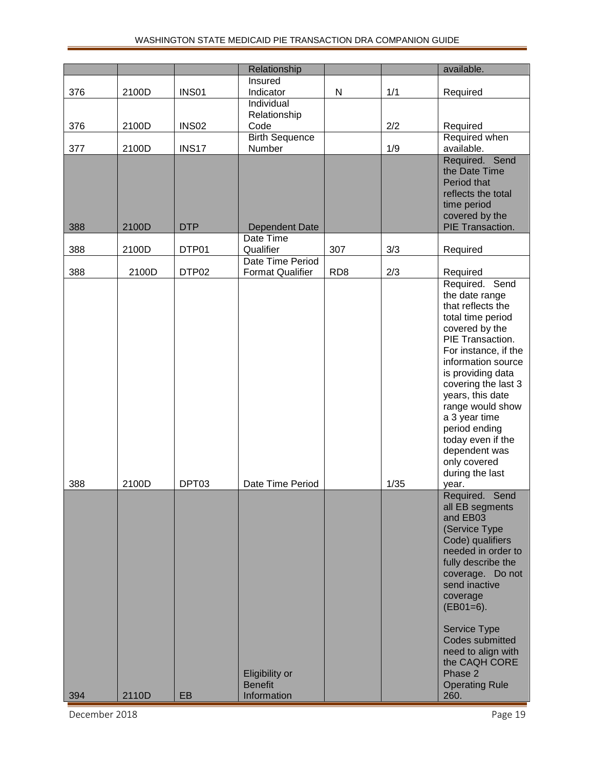|     |       |              | Relationship                |                 |      | available.                              |
|-----|-------|--------------|-----------------------------|-----------------|------|-----------------------------------------|
|     |       |              | Insured                     |                 |      |                                         |
| 376 | 2100D | <b>INS01</b> | Indicator                   | ${\sf N}$       | 1/1  | Required                                |
|     |       |              | Individual<br>Relationship  |                 |      |                                         |
| 376 | 2100D | <b>INS02</b> | Code                        |                 | 2/2  | Required                                |
|     |       |              | <b>Birth Sequence</b>       |                 |      | Required when                           |
| 377 | 2100D | <b>INS17</b> | Number                      |                 | 1/9  | available.                              |
|     |       |              |                             |                 |      | Required. Send                          |
|     |       |              |                             |                 |      | the Date Time<br>Period that            |
|     |       |              |                             |                 |      | reflects the total                      |
|     |       |              |                             |                 |      | time period                             |
|     |       |              |                             |                 |      | covered by the                          |
| 388 | 2100D | <b>DTP</b>   | Dependent Date<br>Date Time |                 |      | PIE Transaction.                        |
| 388 | 2100D | DTP01        | Qualifier                   | 307             | 3/3  | Required                                |
|     |       |              | Date Time Period            |                 |      |                                         |
| 388 | 2100D | DTP02        | <b>Format Qualifier</b>     | RD <sub>8</sub> | 2/3  | Required                                |
|     |       |              |                             |                 |      | Required. Send                          |
|     |       |              |                             |                 |      | the date range<br>that reflects the     |
|     |       |              |                             |                 |      | total time period                       |
|     |       |              |                             |                 |      | covered by the                          |
|     |       |              |                             |                 |      | PIE Transaction.                        |
|     |       |              |                             |                 |      | For instance, if the                    |
|     |       |              |                             |                 |      | information source<br>is providing data |
|     |       |              |                             |                 |      | covering the last 3                     |
|     |       |              |                             |                 |      | years, this date                        |
|     |       |              |                             |                 |      | range would show                        |
|     |       |              |                             |                 |      | a 3 year time                           |
|     |       |              |                             |                 |      | period ending<br>today even if the      |
|     |       |              |                             |                 |      | dependent was                           |
|     |       |              |                             |                 |      | only covered                            |
|     |       |              |                             |                 |      | during the last                         |
| 388 | 2100D | DPT03        | Date Time Period            |                 | 1/35 | year.                                   |
|     |       |              |                             |                 |      | Required. Send                          |
|     |       |              |                             |                 |      | all EB segments<br>and EB03             |
|     |       |              |                             |                 |      | (Service Type                           |
|     |       |              |                             |                 |      | Code) qualifiers                        |
|     |       |              |                             |                 |      | needed in order to                      |
|     |       |              |                             |                 |      | fully describe the                      |
|     |       |              |                             |                 |      | coverage. Do not<br>send inactive       |
|     |       |              |                             |                 |      | coverage                                |
|     |       |              |                             |                 |      | $(EB01=6).$                             |
|     |       |              |                             |                 |      | Service Type                            |
|     |       |              |                             |                 |      | Codes submitted                         |
|     |       |              |                             |                 |      | need to align with                      |
|     |       |              | Eligibility or              |                 |      | the CAQH CORE<br>Phase 2                |
|     |       |              | <b>Benefit</b>              |                 |      | <b>Operating Rule</b>                   |
| 394 | 2110D | EB           | Information                 |                 |      | 260.                                    |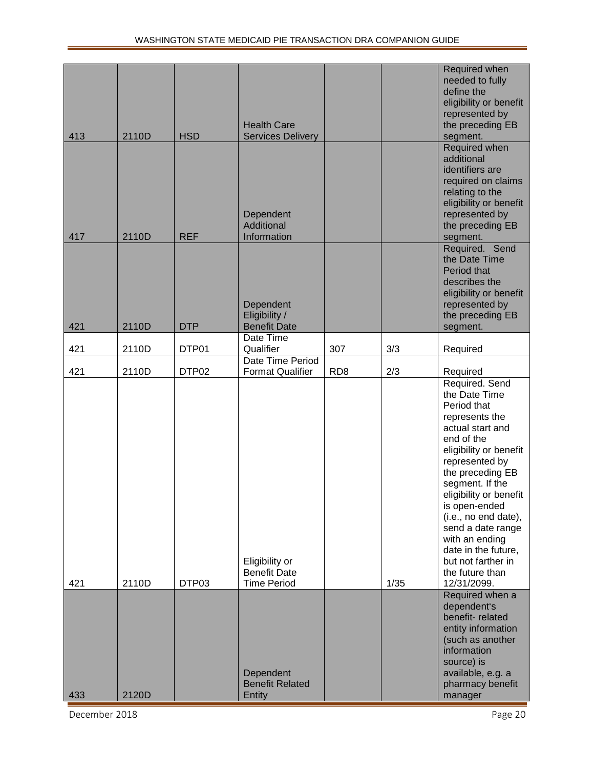| 413 | 2110D | <b>HSD</b>        | <b>Health Care</b><br><b>Services Delivery</b>              |                 |      | Required when<br>needed to fully<br>define the<br>eligibility or benefit<br>represented by<br>the preceding EB<br>segment.                                                                                                                                                                                                                                                     |
|-----|-------|-------------------|-------------------------------------------------------------|-----------------|------|--------------------------------------------------------------------------------------------------------------------------------------------------------------------------------------------------------------------------------------------------------------------------------------------------------------------------------------------------------------------------------|
| 417 | 2110D | <b>REF</b>        | Dependent<br>Additional<br>Information                      |                 |      | Required when<br>additional<br>identifiers are<br>required on claims<br>relating to the<br>eligibility or benefit<br>represented by<br>the preceding EB<br>segment.                                                                                                                                                                                                            |
| 421 | 2110D | <b>DTP</b>        | Dependent<br>Eligibility /<br><b>Benefit Date</b>           |                 |      | Required. Send<br>the Date Time<br>Period that<br>describes the<br>eligibility or benefit<br>represented by<br>the preceding EB<br>segment.                                                                                                                                                                                                                                    |
| 421 | 2110D | DTP01             | Date Time<br>Qualifier                                      | 307             | 3/3  | Required                                                                                                                                                                                                                                                                                                                                                                       |
| 421 | 2110D | DTP <sub>02</sub> | Date Time Period<br><b>Format Qualifier</b>                 | RD <sub>8</sub> | 2/3  | Required                                                                                                                                                                                                                                                                                                                                                                       |
| 421 | 2110D | DTP03             | Eligibility or<br><b>Benefit Date</b><br><b>Time Period</b> |                 | 1/35 | Required. Send<br>the Date Time<br>Period that<br>represents the<br>actual start and<br>end of the<br>eligibility or benefit<br>represented by<br>the preceding EB<br>segment. If the<br>eligibility or benefit<br>is open-ended<br>(i.e., no end date),<br>send a date range<br>with an ending<br>date in the future,<br>but not farther in<br>the future than<br>12/31/2099. |
| 433 | 2120D |                   | Dependent<br><b>Benefit Related</b><br>Entity               |                 |      | Required when a<br>dependent's<br>benefit-related<br>entity information<br>(such as another<br>information<br>source) is<br>available, e.g. a<br>pharmacy benefit<br>manager                                                                                                                                                                                                   |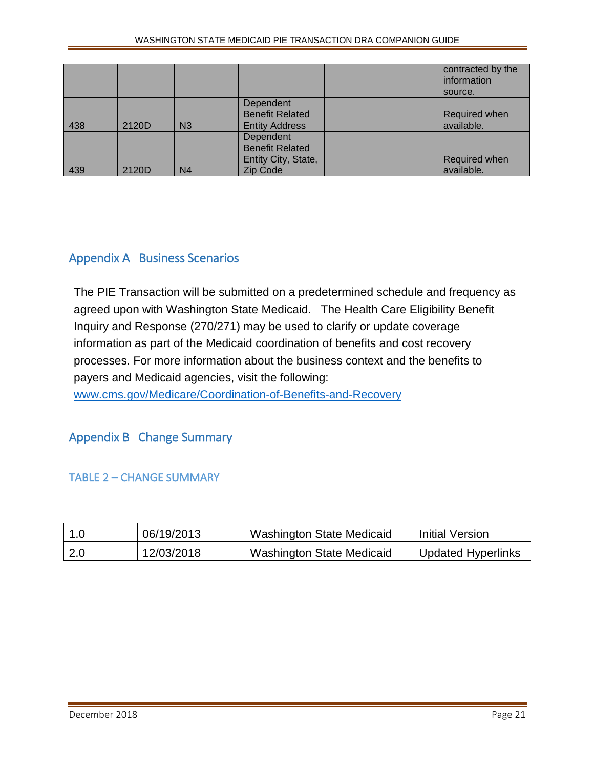|     |       |                |                                                                        | contracted by the<br>information<br>source. |
|-----|-------|----------------|------------------------------------------------------------------------|---------------------------------------------|
| 438 | 2120D | N <sub>3</sub> | Dependent<br><b>Benefit Related</b><br><b>Entity Address</b>           | Required when<br>available.                 |
| 439 | 2120D | N <sub>4</sub> | Dependent<br><b>Benefit Related</b><br>Entity City, State,<br>Zip Code | Required when<br>available.                 |

# <span id="page-20-0"></span>Appendix A Business Scenarios

The PIE Transaction will be submitted on a predetermined schedule and frequency as agreed upon with Washington State Medicaid. The Health Care Eligibility Benefit Inquiry and Response (270/271) may be used to clarify or update coverage information as part of the Medicaid coordination of benefits and cost recovery processes. For more information about the business context and the benefits to payers and Medicaid agencies, visit the following:

<span id="page-20-1"></span>[www.cms.gov/Medicare/Coordination-of-Benefits-and-Recovery](https://www.cms.gov/Medicare/Coordination-of-Benefits-and-Recovery/Beneficiary-Services/Medicares-Recovery-Process/Medicares-Recovery-Process.html)

## Appendix B Change Summary

<span id="page-20-2"></span>TABLE 2 – CHANGE SUMMARY

| 1.0 | 06/19/2013 | <b>Washington State Medicaid</b> | <b>Initial Version</b>    |
|-----|------------|----------------------------------|---------------------------|
| 2.0 | 12/03/2018 | <b>Washington State Medicaid</b> | <b>Updated Hyperlinks</b> |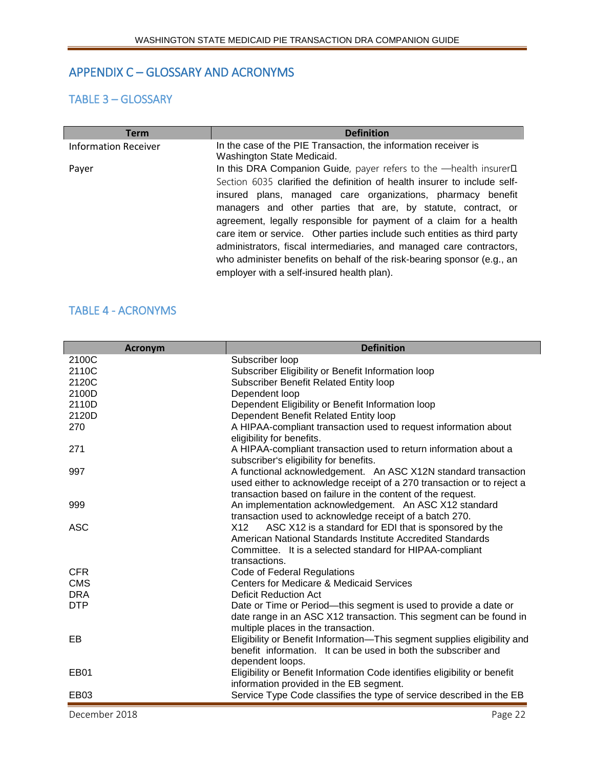## <span id="page-21-0"></span>APPENDIX C – GLOSSARY AND ACRONYMS

#### <span id="page-21-1"></span>TABLE 3 – GLOSSARY

| <b>Term</b>                 | <b>Definition</b>                                                                |
|-----------------------------|----------------------------------------------------------------------------------|
| <b>Information Receiver</b> | In the case of the PIE Transaction, the information receiver is                  |
|                             | Washington State Medicaid.                                                       |
| Payer                       | In this DRA Companion Guide, payer refers to the -health insurer <sup>II</sup> . |
|                             | Section 6035 clarified the definition of health insurer to include self-         |
|                             | insured plans, managed care organizations, pharmacy benefit                      |
|                             | managers and other parties that are, by statute, contract, or                    |
|                             | agreement, legally responsible for payment of a claim for a health               |
|                             | care item or service. Other parties include such entities as third party         |
|                             | administrators, fiscal intermediaries, and managed care contractors,             |
|                             | who administer benefits on behalf of the risk-bearing sponsor (e.g., an          |
|                             | employer with a self-insured health plan).                                       |

#### <span id="page-21-2"></span>TABLE 4 - ACRONYMS

| <b>Acronym</b>   | <b>Definition</b>                                                                                                                                                                                        |
|------------------|----------------------------------------------------------------------------------------------------------------------------------------------------------------------------------------------------------|
| 2100C            | Subscriber loop                                                                                                                                                                                          |
| 2110C            | Subscriber Eligibility or Benefit Information loop                                                                                                                                                       |
| 2120C            | Subscriber Benefit Related Entity loop                                                                                                                                                                   |
| 2100D            | Dependent loop                                                                                                                                                                                           |
| 2110D            | Dependent Eligibility or Benefit Information loop                                                                                                                                                        |
| 2120D            | Dependent Benefit Related Entity loop                                                                                                                                                                    |
| 270              | A HIPAA-compliant transaction used to request information about<br>eligibility for benefits.                                                                                                             |
| 271              | A HIPAA-compliant transaction used to return information about a<br>subscriber's eligibility for benefits.                                                                                               |
| 997              | A functional acknowledgement. An ASC X12N standard transaction<br>used either to acknowledge receipt of a 270 transaction or to reject a<br>transaction based on failure in the content of the request.  |
| 999              | An implementation acknowledgement. An ASC X12 standard<br>transaction used to acknowledge receipt of a batch 270.                                                                                        |
| <b>ASC</b>       | ASC X12 is a standard for EDI that is sponsored by the<br>X12<br>American National Standards Institute Accredited Standards<br>Committee. It is a selected standard for HIPAA-compliant<br>transactions. |
| <b>CFR</b>       | Code of Federal Regulations                                                                                                                                                                              |
| <b>CMS</b>       | <b>Centers for Medicare &amp; Medicaid Services</b>                                                                                                                                                      |
| <b>DRA</b>       | <b>Deficit Reduction Act</b>                                                                                                                                                                             |
| <b>DTP</b>       | Date or Time or Period-this segment is used to provide a date or<br>date range in an ASC X12 transaction. This segment can be found in<br>multiple places in the transaction.                            |
| EB               | Eligibility or Benefit Information-This segment supplies eligibility and<br>benefit information. It can be used in both the subscriber and<br>dependent loops.                                           |
| EB <sub>01</sub> | Eligibility or Benefit Information Code identifies eligibility or benefit<br>information provided in the EB segment.                                                                                     |
| <b>EB03</b>      | Service Type Code classifies the type of service described in the EB                                                                                                                                     |

December 2018 **Page 22**